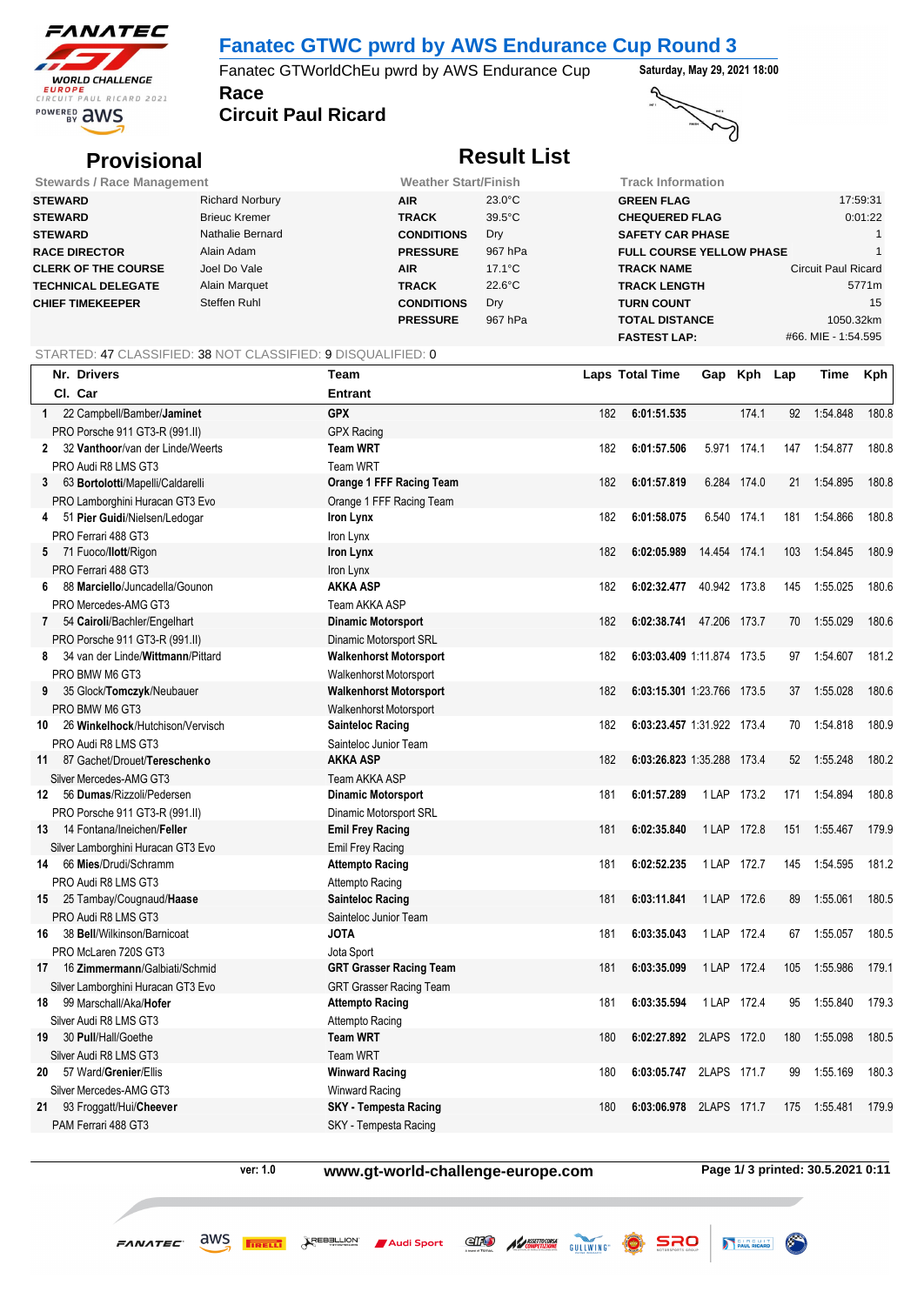

## **Fanatec GTWC pwrd by AWS Endurance Cup Round 3**

**Race** Fanatec GTWorldChEu pwrd by AWS Endurance Cup **Saturday, May 29, 2021 18:00**

**Circuit Paul Ricard**



# **Provisional Result List**

| <b>Stewards / Race Management</b> |                        | <b>Weather Start/Finish</b> |                  |                                 | Track Information          |  |  |  |
|-----------------------------------|------------------------|-----------------------------|------------------|---------------------------------|----------------------------|--|--|--|
| <b>STEWARD</b>                    | <b>Richard Norbury</b> | <b>AIR</b>                  | $23.0^{\circ}$ C | <b>GREEN FLAG</b>               | 17:59:31                   |  |  |  |
| <b>STEWARD</b>                    | <b>Brieuc Kremer</b>   | <b>TRACK</b>                | $39.5^{\circ}$ C | <b>CHEQUERED FLAG</b>           | 0:01:22                    |  |  |  |
| <b>STEWARD</b>                    | Nathalie Bernard       | <b>CONDITIONS</b>           | Dry              | <b>SAFETY CAR PHASE</b>         |                            |  |  |  |
| <b>RACE DIRECTOR</b>              | Alain Adam             | <b>PRESSURE</b>             | 967 hPa          | <b>FULL COURSE YELLOW PHASE</b> |                            |  |  |  |
| <b>CLERK OF THE COURSE</b>        | Joel Do Vale           | <b>AIR</b>                  | $17.1^{\circ}$ C | <b>TRACK NAME</b>               | <b>Circuit Paul Ricard</b> |  |  |  |
| <b>TECHNICAL DELEGATE</b>         | Alain Marquet          | <b>TRACK</b>                | $22.6^{\circ}$ C | <b>TRACK LENGTH</b>             | 5771m                      |  |  |  |
| <b>CHIEF TIMEKEEPER</b>           | Steffen Ruhl           | <b>CONDITIONS</b>           | Dry              | <b>TURN COUNT</b>               | 15                         |  |  |  |
|                                   |                        | <b>PRESSURE</b>             | 967 hPa          | <b>TOTAL DISTANCE</b>           | 1050.32km                  |  |  |  |
|                                   |                        |                             |                  | <b>FASTEST LAP:</b>             | #66. MIE - 1:54.595        |  |  |  |

### STARTED: 47 CLASSIFIED: 38 NOT CLASSIFIED: 9 DISQUALIFIED: 0

|              | Nr. Drivers                        | Team                           |     | Laps Total Time            |              | Gap Kph Lap |     | Time     | Kph   |
|--------------|------------------------------------|--------------------------------|-----|----------------------------|--------------|-------------|-----|----------|-------|
|              | Cl. Car                            | <b>Entrant</b>                 |     |                            |              |             |     |          |       |
|              | 1 22 Campbell/Bamber/Jaminet       | <b>GPX</b>                     | 182 | 6:01:51.535                |              | 174.1       | 92  | 1:54.848 | 180.8 |
|              | PRO Porsche 911 GT3-R (991.II)     | <b>GPX Racing</b>              |     |                            |              |             |     |          |       |
| $\mathbf{2}$ | 32 Vanthoor/van der Linde/Weerts   | <b>Team WRT</b>                | 182 | 6:01:57.506                |              | 5.971 174.1 | 147 | 1:54.877 | 180.8 |
|              | PRO Audi R8 LMS GT3                | <b>Team WRT</b>                |     |                            |              |             |     |          |       |
| 3            | 63 Bortolotti/Mapelli/Caldarelli   | Orange 1 FFF Racing Team       | 182 | 6:01:57.819                |              | 6.284 174.0 | 21  | 1:54.895 | 180.8 |
|              | PRO Lamborghini Huracan GT3 Evo    | Orange 1 FFF Racing Team       |     |                            |              |             |     |          |       |
| 4            | 51 Pier Guidi/Nielsen/Ledogar      | Iron Lynx                      | 182 | 6:01:58.075                |              | 6.540 174.1 | 181 | 1:54.866 | 180.8 |
|              | PRO Ferrari 488 GT3                | Iron Lynx                      |     |                            |              |             |     |          |       |
|              | 5 71 Fuoco/llott/Rigon             | Iron Lynx                      | 182 | 6:02:05.989                | 14.454 174.1 |             | 103 | 1:54.845 | 180.9 |
|              | PRO Ferrari 488 GT3                | Iron Lynx                      |     |                            |              |             |     |          |       |
| 6            | 88 Marciello/Juncadella/Gounon     | <b>AKKA ASP</b>                | 182 | 6:02:32.477 40.942 173.8   |              |             | 145 | 1:55.025 | 180.6 |
|              | PRO Mercedes-AMG GT3               | Team AKKA ASP                  |     |                            |              |             |     |          |       |
| 7            | 54 Cairoli/Bachler/Engelhart       | <b>Dinamic Motorsport</b>      | 182 | 6:02:38.741                | 47.206       | 173.7       | 70  | 1:55.029 | 180.6 |
|              | PRO Porsche 911 GT3-R (991.II)     | Dinamic Motorsport SRL         |     |                            |              |             |     |          |       |
| 8            | 34 van der Linde/Wittmann/Pittard  | <b>Walkenhorst Motorsport</b>  | 182 | 6:03:03.409 1:11.874 173.5 |              |             | 97  | 1:54.607 | 181.2 |
|              | PRO BMW M6 GT3                     | Walkenhorst Motorsport         |     |                            |              |             |     |          |       |
| 9            | 35 Glock/Tomczyk/Neubauer          | <b>Walkenhorst Motorsport</b>  | 182 | 6:03:15.301 1:23.766 173.5 |              |             | 37  | 1:55.028 | 180.6 |
|              | PRO BMW M6 GT3                     | Walkenhorst Motorsport         |     |                            |              |             |     |          |       |
| 10           | 26 Winkelhock/Hutchison/Vervisch   | <b>Sainteloc Racing</b>        | 182 | 6:03:23.457 1:31.922 173.4 |              |             | 70  | 1:54.818 | 180.9 |
|              | PRO Audi R8 LMS GT3                | Sainteloc Junior Team          |     |                            |              |             |     |          |       |
|              | 11 87 Gachet/Drouet/Tereschenko    | <b>AKKA ASP</b>                | 182 | 6:03:26.823 1:35.288 173.4 |              |             | 52  | 1:55.248 | 180.2 |
|              | Silver Mercedes-AMG GT3            | <b>Team AKKA ASP</b>           |     |                            |              |             |     |          |       |
| 12           | 56 Dumas/Rizzoli/Pedersen          | <b>Dinamic Motorsport</b>      | 181 | 6:01:57.289                | 1 LAP        | 173.2       | 171 | 1:54.894 | 180.8 |
|              | PRO Porsche 911 GT3-R (991.II)     | Dinamic Motorsport SRL         |     |                            |              |             |     |          |       |
| 13           | 14 Fontana/Ineichen/Feller         | <b>Emil Frey Racing</b>        | 181 | 6:02:35.840                | 1 LAP 172.8  |             | 151 | 1:55.467 | 179.9 |
|              | Silver Lamborghini Huracan GT3 Evo | Emil Frey Racing               |     |                            |              |             |     |          |       |
| 14           | 66 Mies/Drudi/Schramm              | <b>Attempto Racing</b>         | 181 | 6:02:52.235                | 1 LAP 172.7  |             | 145 | 1:54.595 | 181.2 |
|              | PRO Audi R8 LMS GT3                | Attempto Racing                |     |                            |              |             |     |          |       |
|              | 15 25 Tambay/Cougnaud/Haase        | <b>Sainteloc Racing</b>        | 181 | 6:03:11.841                | 1 LAP        | 172.6       | 89  | 1:55.061 | 180.5 |
|              | PRO Audi R8 LMS GT3                | Sainteloc Junior Team          |     |                            |              |             |     |          |       |
| 16           | 38 Bell/Wilkinson/Barnicoat        | <b>JOTA</b>                    | 181 | 6:03:35.043                | 1 LAP 172.4  |             | 67  | 1:55.057 | 180.5 |
|              | PRO McLaren 720S GT3               | Jota Sport                     |     |                            |              |             |     |          |       |
| 17           | 16 Zimmermann/Galbiati/Schmid      | <b>GRT Grasser Racing Team</b> | 181 | 6:03:35.099                | 1 LAP        | 172.4       | 105 | 1:55.986 | 179.1 |
|              | Silver Lamborghini Huracan GT3 Evo | <b>GRT Grasser Racing Team</b> |     |                            |              |             |     |          |       |
| 18           | 99 Marschall/Aka/Hofer             | <b>Attempto Racing</b>         | 181 | 6:03:35.594                | 1 LAP        | 172.4       | 95  | 1:55.840 | 179.3 |
|              | Silver Audi R8 LMS GT3             | Attempto Racing                |     |                            |              |             |     |          |       |
| 19           | 30 Pull/Hall/Goethe                | <b>Team WRT</b>                | 180 | 6:02:27.892                | 2LAPS 172.0  |             | 180 | 1:55.098 | 180.5 |
|              | Silver Audi R8 LMS GT3             | <b>Team WRT</b>                |     |                            |              |             |     |          |       |
| 20           | 57 Ward/Grenier/Ellis              | <b>Winward Racing</b>          | 180 | 6:03:05.747                | 2LAPS 171.7  |             | 99  | 1:55.169 | 180.3 |
|              | Silver Mercedes-AMG GT3            | Winward Racing                 |     |                            |              |             |     |          |       |
| 21           | 93 Froggatt/Hui/Cheever            | <b>SKY</b> - Tempesta Racing   | 180 | 6:03:06.978                | 2LAPS 171.7  |             | 175 | 1:55.481 | 179.9 |
|              | PAM Ferrari 488 GT3                | SKY - Tempesta Racing          |     |                            |              |             |     |          |       |
|              |                                    |                                |     |                            |              |             |     |          |       |

**ver: 1.0 www.gt-world-challenge-europe.com Page 1/ 3 printed: 30.5.2021 0:11**

ELECTRIC MUNICIPAL COMPETIZIONE GULLWING

PAUL RICARD

SRO

 $FANATEC$   $\frac{dWS}{dr}$   $\frac{F1}{dr}$   $\frac{dS}{dr} = \frac{1}{r}$  Audi Sport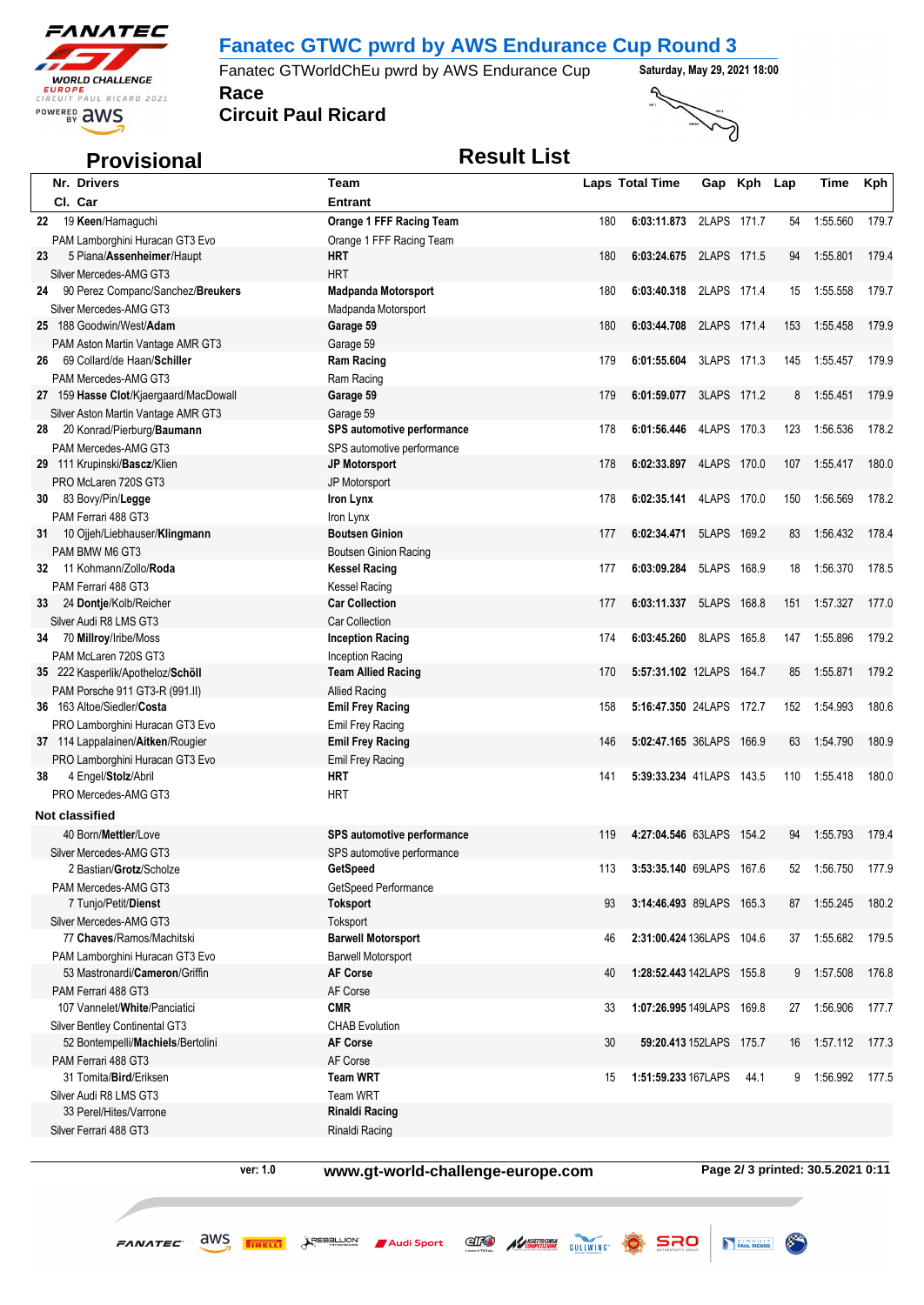

## **Fanatec GTWC pwrd by AWS Endurance Cup Round 3**

**Race** Fanatec GTWorldChEu pwrd by AWS Endurance Cup **Saturday, May 29, 2021 18:00** 

**Circuit Paul Ricard**



# **Provisional** *Result List*

| Nr. Drivers                                        | <b>Team</b>                                      |     | <b>Laps Total Time</b>    |             | Gap Kph Lap |     | Time     | <b>Kph</b> |
|----------------------------------------------------|--------------------------------------------------|-----|---------------------------|-------------|-------------|-----|----------|------------|
| CI. Car                                            | <b>Entrant</b>                                   |     |                           |             |             |     |          |            |
| 19 Keen/Hamaguchi<br>22                            | Orange 1 FFF Racing Team                         | 180 | 6:03:11.873               | 2LAPS 171.7 |             | 54  | 1:55.560 | 179.7      |
| PAM Lamborghini Huracan GT3 Evo                    | Orange 1 FFF Racing Team                         |     |                           |             |             |     |          |            |
| 5 Piana/Assenheimer/Haupt<br>23                    | HRT                                              | 180 | 6:03:24.675 2LAPS 171.5   |             |             | 94  | 1:55.801 | 179.4      |
| Silver Mercedes-AMG GT3                            | <b>HRT</b>                                       |     |                           |             |             |     |          |            |
| 24 90 Perez Companc/Sanchez/Breukers               | <b>Madpanda Motorsport</b>                       | 180 | 6:03:40.318 2LAPS 171.4   |             |             | 15  | 1:55.558 | 179.7      |
| Silver Mercedes-AMG GT3                            | Madpanda Motorsport                              |     |                           |             |             |     |          |            |
| 25 188 Goodwin/West/Adam                           | Garage 59                                        | 180 | 6:03:44.708               | 2LAPS 171.4 |             | 153 | 1:55.458 | 179.9      |
| PAM Aston Martin Vantage AMR GT3                   | Garage 59                                        |     |                           |             |             |     |          |            |
| 69 Collard/de Haan/Schiller<br>26                  | <b>Ram Racing</b>                                | 179 | 6:01:55.604               | 3LAPS 171.3 |             | 145 | 1:55.457 | 179.9      |
| PAM Mercedes-AMG GT3                               | Ram Racing                                       |     |                           |             |             |     |          |            |
| 27 159 Hasse Clot/Kjaergaard/MacDowall             | Garage 59                                        | 179 | 6:01:59.077 3LAPS 171.2   |             |             | 8   | 1:55.451 | 179.9      |
| Silver Aston Martin Vantage AMR GT3                | Garage 59                                        |     |                           |             |             |     |          |            |
| 20 Konrad/Pierburg/Baumann<br>28                   | SPS automotive performance                       | 178 | 6:01:56.446               | 4LAPS 170.3 |             | 123 | 1:56.536 | 178.2      |
| PAM Mercedes-AMG GT3                               | SPS automotive performance                       |     |                           |             |             |     |          |            |
| 29 111 Krupinski/Bascz/Klien                       | <b>JP Motorsport</b>                             | 178 | 6:02:33.897 4LAPS 170.0   |             |             | 107 | 1:55.417 | 180.0      |
| PRO McLaren 720S GT3                               | JP Motorsport                                    |     |                           |             |             |     |          |            |
| 83 Bovy/Pin/Legge<br>30                            | Iron Lynx                                        | 178 | 6:02:35.141               | 4LAPS 170.0 |             | 150 | 1:56.569 | 178.2      |
| PAM Ferrari 488 GT3                                | Iron Lynx                                        |     |                           |             |             |     |          |            |
| 10 Ojjeh/Liebhauser/Klingmann<br>31                | <b>Boutsen Ginion</b>                            | 177 | 6:02:34.471 5LAPS 169.2   |             |             | 83  | 1:56.432 | 178.4      |
| PAM BMW M6 GT3                                     | <b>Boutsen Ginion Racing</b>                     |     | 6:03:09.284               | 5LAPS 168.9 |             | 18  | 1:56.370 | 178.5      |
| 32 11 Kohmann/Zollo/Roda                           | <b>Kessel Racing</b>                             | 177 |                           |             |             |     |          |            |
| PAM Ferrari 488 GT3                                | <b>Kessel Racing</b><br><b>Car Collection</b>    | 177 | 6:03:11.337               | 5LAPS 168.8 |             | 151 | 1:57.327 | 177.0      |
| 24 Dontje/Kolb/Reicher<br>33                       |                                                  |     |                           |             |             |     |          |            |
| Silver Audi R8 LMS GT3<br>34 70 Millroy/Iribe/Moss | <b>Car Collection</b><br><b>Inception Racing</b> | 174 | 6:03:45.260               | 8LAPS 165.8 |             | 147 | 1:55.896 | 179.2      |
| PAM McLaren 720S GT3                               |                                                  |     |                           |             |             |     |          |            |
| 35 222 Kasperlik/Apotheloz/Schöll                  | Inception Racing<br><b>Team Allied Racing</b>    | 170 | 5:57:31.102 12LAPS 164.7  |             |             | 85  | 1:55.871 | 179.2      |
| PAM Porsche 911 GT3-R (991.II)                     | <b>Allied Racing</b>                             |     |                           |             |             |     |          |            |
| 36 163 Altoe/Siedler/Costa                         | <b>Emil Frey Racing</b>                          | 158 | 5:16:47.350 24LAPS 172.7  |             |             | 152 | 1:54.993 | 180.6      |
| PRO Lamborghini Huracan GT3 Evo                    | <b>Emil Frey Racing</b>                          |     |                           |             |             |     |          |            |
| 37 114 Lappalainen/Aitken/Rougier                  | <b>Emil Frey Racing</b>                          | 146 | 5:02:47.165 36LAPS 166.9  |             |             | 63  | 1:54.790 | 180.9      |
| PRO Lamborghini Huracan GT3 Evo                    | <b>Emil Frey Racing</b>                          |     |                           |             |             |     |          |            |
| 4 Engel/Stolz/Abril<br>38                          | HRT                                              | 141 | 5:39:33.234 41LAPS 143.5  |             |             | 110 | 1:55.418 | 180.0      |
| PRO Mercedes-AMG GT3                               | <b>HRT</b>                                       |     |                           |             |             |     |          |            |
| Not classified                                     |                                                  |     |                           |             |             |     |          |            |
| 40 Born/Mettler/Love                               | SPS automotive performance                       | 119 | 4:27:04.546 63LAPS 154.2  |             |             | 94  | 1:55.793 | 179.4      |
| Silver Mercedes-AMG GT3                            | SPS automotive performance                       |     |                           |             |             |     |          |            |
| 2 Bastian/Grotz/Scholze                            | GetSpeed                                         | 113 | 3:53:35.140 69LAPS 167.6  |             |             |     | 1:56.750 | 177.9      |
| PAM Mercedes-AMG GT3                               | GetSpeed Performance                             |     |                           |             |             |     |          |            |
| 7 Tunjo/Petit/Dienst                               | <b>Toksport</b>                                  | 93  | 3:14:46.493 89LAPS 165.3  |             |             | 87  | 1:55.245 | 180.2      |
| Silver Mercedes-AMG GT3                            | Toksport                                         |     |                           |             |             |     |          |            |
| 77 Chaves/Ramos/Machitski                          | <b>Barwell Motorsport</b>                        | 46  | 2:31:00.424 136LAPS 104.6 |             |             | 37  | 1:55.682 | 179.5      |
| PAM Lamborghini Huracan GT3 Evo                    | <b>Barwell Motorsport</b>                        |     |                           |             |             |     |          |            |
| 53 Mastronardi/Cameron/Griffin                     | <b>AF Corse</b>                                  | 40  | 1:28:52.443 142LAPS 155.8 |             |             | 9   | 1:57.508 | 176.8      |
| PAM Ferrari 488 GT3                                | AF Corse                                         |     |                           |             |             |     |          |            |
| 107 Vannelet/White/Panciatici                      | <b>CMR</b>                                       | 33  | 1:07:26.995 149LAPS 169.8 |             |             | 27  | 1:56.906 | 177.7      |
| Silver Bentley Continental GT3                     | <b>CHAB Evolution</b>                            |     |                           |             |             |     |          |            |
| 52 Bontempelli/Machiels/Bertolini                  | <b>AF Corse</b>                                  | 30  | 59:20.413 152LAPS 175.7   |             |             | 16  | 1:57.112 | 177.3      |
| PAM Ferrari 488 GT3                                | AF Corse                                         |     |                           |             |             |     |          |            |
| 31 Tomita/Bird/Eriksen                             | <b>Team WRT</b>                                  | 15  | 1:51:59.233 167LAPS       |             | 44.1        | 9   | 1:56.992 | 177.5      |
| Silver Audi R8 LMS GT3                             | Team WRT                                         |     |                           |             |             |     |          |            |
| 33 Perel/Hites/Varrone                             | <b>Rinaldi Racing</b>                            |     |                           |             |             |     |          |            |
| Silver Ferrari 488 GT3                             | Rinaldi Racing                                   |     |                           |             |             |     |          |            |

**ver: 1.0 www.gt-world-challenge-europe.com Page 2/ 3 printed: 30.5.2021 0:11**

ERO ALASSETTECHNE GULLWING SRO

PAUL RICARD

 $FANATEC$   $\frac{dWS}{dr}$   $\frac{FRIB}{dr}$   $\frac{dS}{dr}$   $\frac{dS}{dr}$   $\frac{dS}{dr}$  Audi Sport